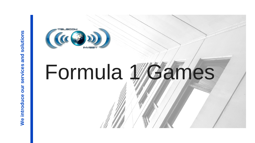

## Formula MGames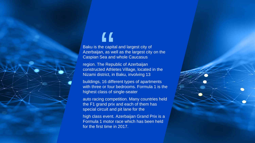## "

Baku is the capital and largest city of Azerbaijan, as well as the largest city on the Caspian Sea and whole Caucasus

region. The Republic of Azerbaijan constructed Athletes Village, located in the Nizami district, in Baku, involving 13

buildings, 16 different types of apartments with three or four bedrooms. Formula 1 is the highest class of single-seater

auto racing competition. Many countries held the F1 grand prix and each of them has special circuit and pit lane for the

high class event. Azerbaijan Grand Prix is a Formula 1 motor race which has been held for the first time in 2017.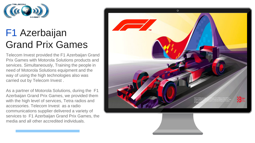

### F1 Azerbaijan Grand Prix Games

Telecom Invest provided the F1 Azerbaijan Grand Prix Games with Motorola Solutions products and services. Simultaneously, Training the people in need of Motorola Solutions equipment and the way of using the high technologies also was carried out by Telecom Invest .

As a partner of Motorola Solutions, during the F1 Azerbaijan Grand Prix Games, we provided them with the high level of services, Tetra radios and accessories. Telecom Invest as a radio communications supplier delivered a variety of services to F1 Azerbaijan Grand Prix Games, the media and all other accredited individuals.

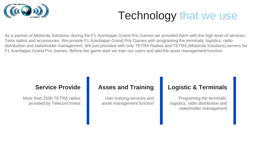

### Technology that we use

As a partner of Motorola Solutions, during the F1 Azerbaijan Grand Prix Games we provided them with the high level of services, Tetra radios and accessories. We provide F1 Azerbaijan Grand Prix Games with programing the terminals, logistics, radio distribution and stakeholder management. We just provided with only TETRA Radios and TETRA (Motorola Solutions) servers for F1 Azerbaijan Grand Prix Games. Before the game start we train our users and add the asset management function.

#### **Service Provide**

More than 2500 TETRA radios provided by Telecom Invest

#### **Asses and Training**

User training services and asset management function

#### **Logistic & Terminals**

Programing the terminals, logistics, radio distribution and stakeholder management